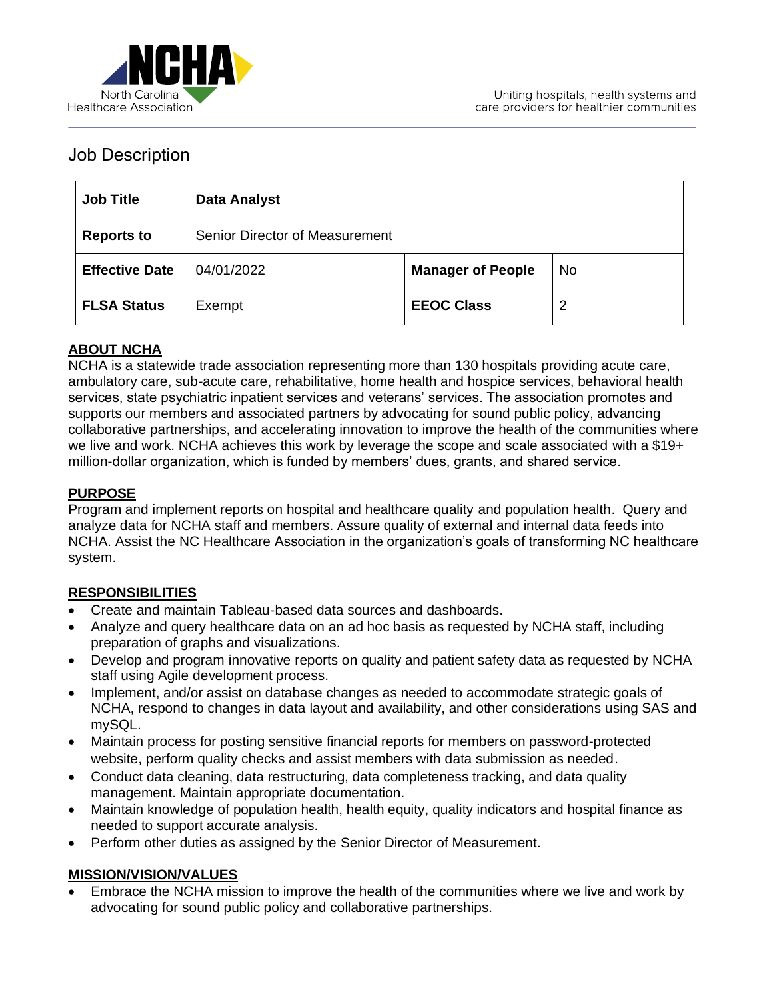

# Job Description

| <b>Job Title</b>      | <b>Data Analyst</b>            |                          |    |
|-----------------------|--------------------------------|--------------------------|----|
| <b>Reports to</b>     | Senior Director of Measurement |                          |    |
| <b>Effective Date</b> | 04/01/2022                     | <b>Manager of People</b> | No |
| <b>FLSA Status</b>    | Exempt                         | <b>EEOC Class</b>        | 2  |

# **ABOUT NCHA**

NCHA is a statewide trade association representing more than 130 hospitals providing acute care, ambulatory care, sub-acute care, rehabilitative, home health and hospice services, behavioral health services, state psychiatric inpatient services and veterans' services. The association promotes and supports our members and associated partners by advocating for sound public policy, advancing collaborative partnerships, and accelerating innovation to improve the health of the communities where we live and work. NCHA achieves this work by leverage the scope and scale associated with a \$19+ million-dollar organization, which is funded by members' dues, grants, and shared service.

# **PURPOSE**

Program and implement reports on hospital and healthcare quality and population health. Query and analyze data for NCHA staff and members. Assure quality of external and internal data feeds into NCHA. Assist the NC Healthcare Association in the organization's goals of transforming NC healthcare system.

# **RESPONSIBILITIES**

- Create and maintain Tableau-based data sources and dashboards.
- Analyze and query healthcare data on an ad hoc basis as requested by NCHA staff, including preparation of graphs and visualizations.
- Develop and program innovative reports on quality and patient safety data as requested by NCHA staff using Agile development process.
- Implement, and/or assist on database changes as needed to accommodate strategic goals of NCHA, respond to changes in data layout and availability, and other considerations using SAS and mySQL.
- Maintain process for posting sensitive financial reports for members on password-protected website, perform quality checks and assist members with data submission as needed.
- Conduct data cleaning, data restructuring, data completeness tracking, and data quality management. Maintain appropriate documentation.
- Maintain knowledge of population health, health equity, quality indicators and hospital finance as needed to support accurate analysis.
- Perform other duties as assigned by the Senior Director of Measurement.

# **MISSION/VISION/VALUES**

• Embrace the NCHA mission to improve the health of the communities where we live and work by advocating for sound public policy and collaborative partnerships.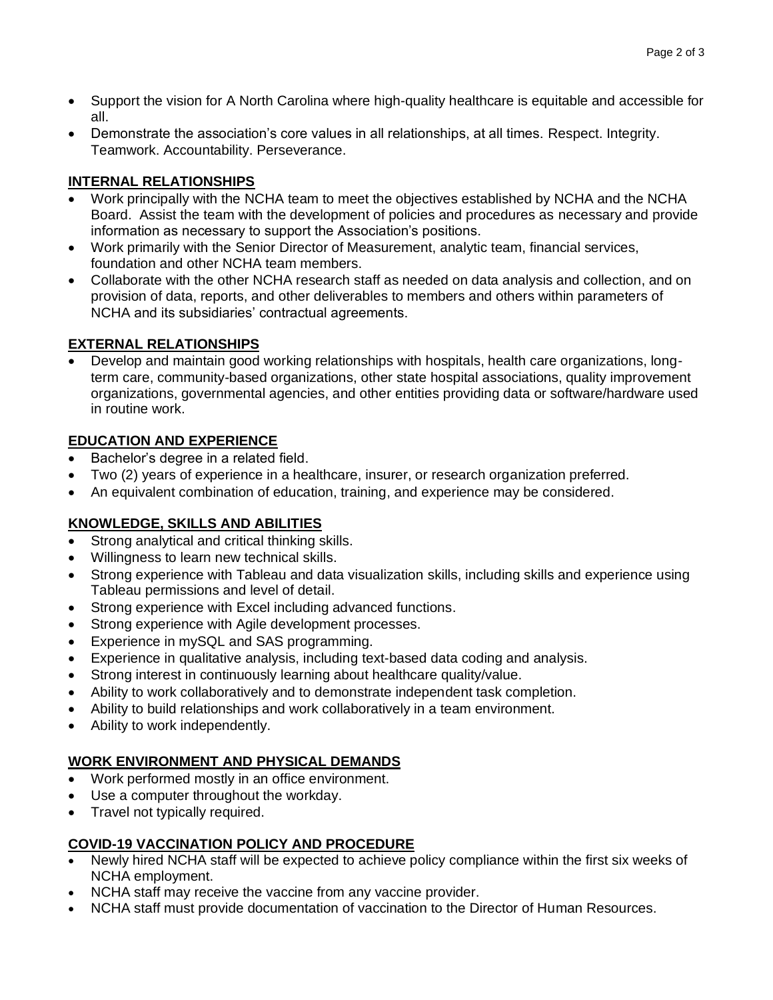- Support the vision for A North Carolina where high-quality healthcare is equitable and accessible for all.
- Demonstrate the association's core values in all relationships, at all times. Respect. Integrity. Teamwork. Accountability. Perseverance.

# **INTERNAL RELATIONSHIPS**

- Work principally with the NCHA team to meet the objectives established by NCHA and the NCHA Board. Assist the team with the development of policies and procedures as necessary and provide information as necessary to support the Association's positions.
- Work primarily with the Senior Director of Measurement, analytic team, financial services, foundation and other NCHA team members.
- Collaborate with the other NCHA research staff as needed on data analysis and collection, and on provision of data, reports, and other deliverables to members and others within parameters of NCHA and its subsidiaries' contractual agreements.

# **EXTERNAL RELATIONSHIPS**

• Develop and maintain good working relationships with hospitals, health care organizations, longterm care, community-based organizations, other state hospital associations, quality improvement organizations, governmental agencies, and other entities providing data or software/hardware used in routine work.

# **EDUCATION AND EXPERIENCE**

- Bachelor's degree in a related field.
- Two (2) years of experience in a healthcare, insurer, or research organization preferred.
- An equivalent combination of education, training, and experience may be considered.

# **KNOWLEDGE, SKILLS AND ABILITIES**

- Strong analytical and critical thinking skills.
- Willingness to learn new technical skills.
- Strong experience with Tableau and data visualization skills, including skills and experience using Tableau permissions and level of detail.
- Strong experience with Excel including advanced functions.
- Strong experience with Agile development processes.
- Experience in mySQL and SAS programming.
- Experience in qualitative analysis, including text-based data coding and analysis.
- Strong interest in continuously learning about healthcare quality/value.
- Ability to work collaboratively and to demonstrate independent task completion.
- Ability to build relationships and work collaboratively in a team environment.
- Ability to work independently.

# **WORK ENVIRONMENT AND PHYSICAL DEMANDS**

- Work performed mostly in an office environment.
- Use a computer throughout the workday.
- Travel not typically required.

# **COVID-19 VACCINATION POLICY AND PROCEDURE**

- Newly hired NCHA staff will be expected to achieve policy compliance within the first six weeks of NCHA employment.
- NCHA staff may receive the vaccine from any vaccine provider.
- NCHA staff must provide documentation of vaccination to the Director of Human Resources.